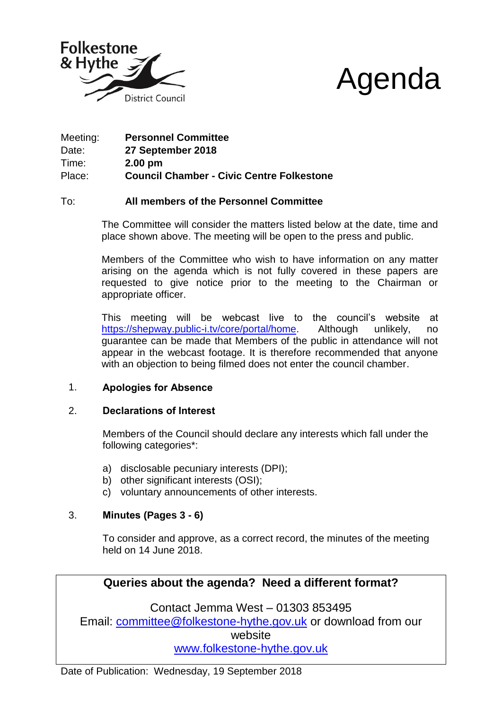



| Meeting: | <b>Personnel Committee</b>                       |
|----------|--------------------------------------------------|
| Date:    | 27 September 2018                                |
| Time:    | $2.00 \text{ pm}$                                |
| Place:   | <b>Council Chamber - Civic Centre Folkestone</b> |

# To: **All members of the Personnel Committee**

The Committee will consider the matters listed below at the date, time and place shown above. The meeting will be open to the press and public.

Members of the Committee who wish to have information on any matter arising on the agenda which is not fully covered in these papers are requested to give notice prior to the meeting to the Chairman or appropriate officer.

This meeting will be webcast live to the council's website at [https://shepway.public-i.tv/core/portal/home.](https://shepway.public-i.tv/core/portal/home) Although unlikely, no guarantee can be made that Members of the public in attendance will not appear in the webcast footage. It is therefore recommended that anyone with an objection to being filmed does not enter the council chamber.

# 1. **Apologies for Absence**

# 2. **Declarations of Interest**

Members of the Council should declare any interests which fall under the following categories\*:

- a) disclosable pecuniary interests (DPI);
- b) other significant interests (OSI);
- c) voluntary announcements of other interests.

# 3. **Minutes (Pages 3 - 6)**

To consider and approve, as a correct record, the minutes of the meeting held on 14 June 2018.

# **Queries about the agenda? Need a different format?**

Contact Jemma West – 01303 853495 Email: committee@folkestone-hythe.gov.uk or download from our website [www.folkestone-hythe.gov.uk](http://www.shepway.gov.uk/)